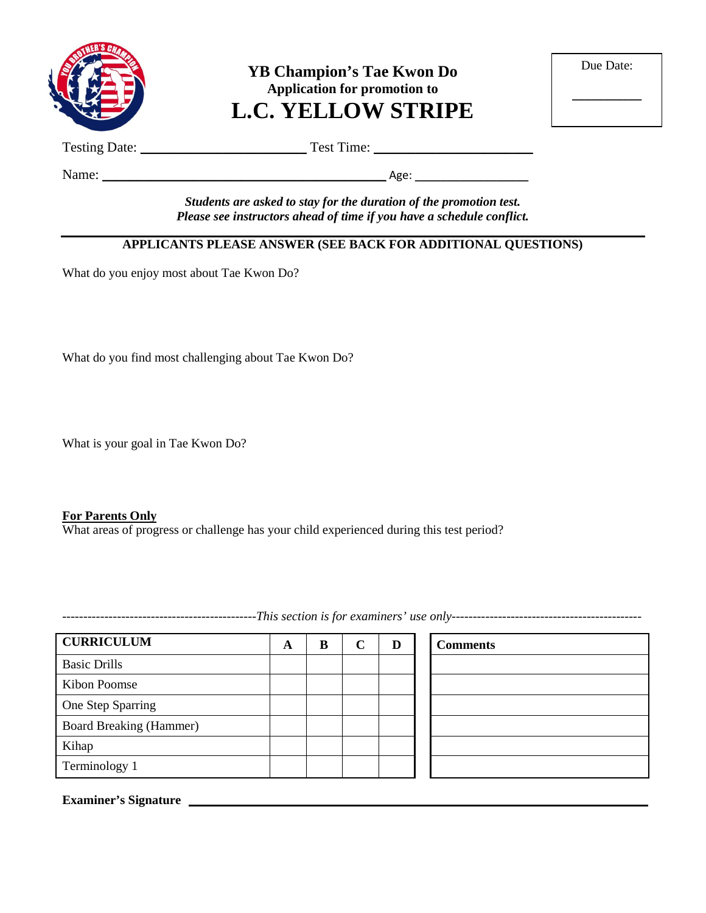

**YB Champion's Tae Kwon Do Application for promotion to L.C. YELLOW STRIPE**

| Due Date: |  |
|-----------|--|
|           |  |

 $\overline{\phantom{a}}$ 

Testing Date: \_\_\_\_\_\_\_\_\_\_\_\_\_\_\_\_\_\_\_\_\_\_\_\_ Test Time: \_\_\_\_\_\_\_\_\_\_\_\_\_\_\_\_\_\_\_\_\_\_\_

Name: \_\_\_\_\_\_\_\_\_\_\_\_\_\_\_\_\_\_\_\_\_\_\_\_\_\_\_\_\_\_\_\_\_\_\_\_\_\_\_\_\_ Age: \_\_\_\_\_\_\_\_\_\_\_\_\_\_\_\_\_\_

*Students are asked to stay for the duration of the promotion test. Please see instructors ahead of time if you have a schedule conflict.*

## **APPLICANTS PLEASE ANSWER (SEE BACK FOR ADDITIONAL QUESTIONS)**

What do you enjoy most about Tae Kwon Do?

What do you find most challenging about Tae Kwon Do?

What is your goal in Tae Kwon Do?

#### **For Parents Only**

What areas of progress or challenge has your child experienced during this test period?

**CURRICULUM A B C D Comments** Basic Drills Kibon Poomse One Step Sparring Board Breaking (Hammer) Kihap Terminology 1

**Examiner's Signature**

----------------------------------------------*This section is for examiners' use only---------------------------------------------*